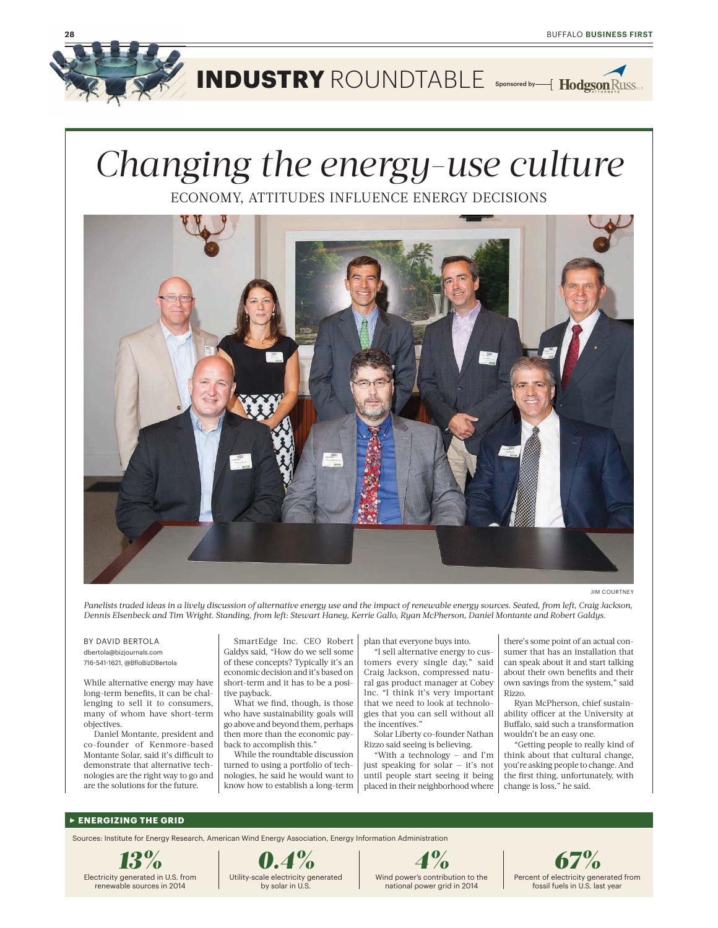

**INDUSTRY** ROUNDTABLE Sponsored by

# *Changing the energy-use culture*

ECONOMY, ATTITUDES INFLUENCE ENERGY DECISIONS



JIM COURTNEY

 *Panelists traded ideas in a lively discussion of alternative energy use and the impact of renewable energy sources. Seated, from left, Craig Jackson, Dennis Elsenbeck and Tim Wright. Standing, from left: Stewart Haney, Kerrie Gallo, Ryan McPherson, Daniel Montante and Robert Galdys.* 

#### BY DAVID BERTOLA dbertola@bizjournals.com 716-541-1621, @BfloBizDBertola

 While alternative energy may have long-term benefits, it can be chal- lenging to sell it to consumers, many of whom have short-term objectives.

 Daniel Montante, president and co-founder of Kenmore-based Montante Solar, said it's difficult to demonstrate that alternative tech- nologies are the right way to go and are the solutions for the future.

 SmartEdge Inc. CEO Robert Galdys said, "How do we sell some of these concepts? Typically it's an economic decision and it's based on short-term and it has to be a positive payback.

 What we find, though, is those who have sustainability goals will go above and beyond them, perhaps then more than the economic pay-back to accomplish this."

 While the roundtable discussion turned to using a portfolio of tech- nologies, he said he would want to know how to establish a long-term plan that everyone buys into.

 "I sell alternative energy to cus- tomers every single day," said Craig Jackson, compressed natu- ral gas product manager at Cobey Inc. "I think it's very important that we need to look at technolo- gies that you can sell without all the incentives."

 Solar Liberty co-founder Nathan Rizzo said seeing is believing.

 "With a technology — and I'm just speaking for solar — it's not until people start seeing it being placed in their neighborhood where

 there's some point of an actual con- can speak about it and start talking own savings from the system," said sumer that has an installation that about their own benefits and their Rizzo.

 Ryan McPherson, chief sustain- ability officer at the University at Buffalo, said such a transformation wouldn't be an easy one.

 "Getting people to really kind of think about that cultural change, the first thing, unfortunately, with change is loss," he said. you're asking people to change. And

#### R **ENERGIZING THE GRID**

Sources: Institute for Energy Research, American Wind Energy Association, Energy Information Administration





national power grid in 2014

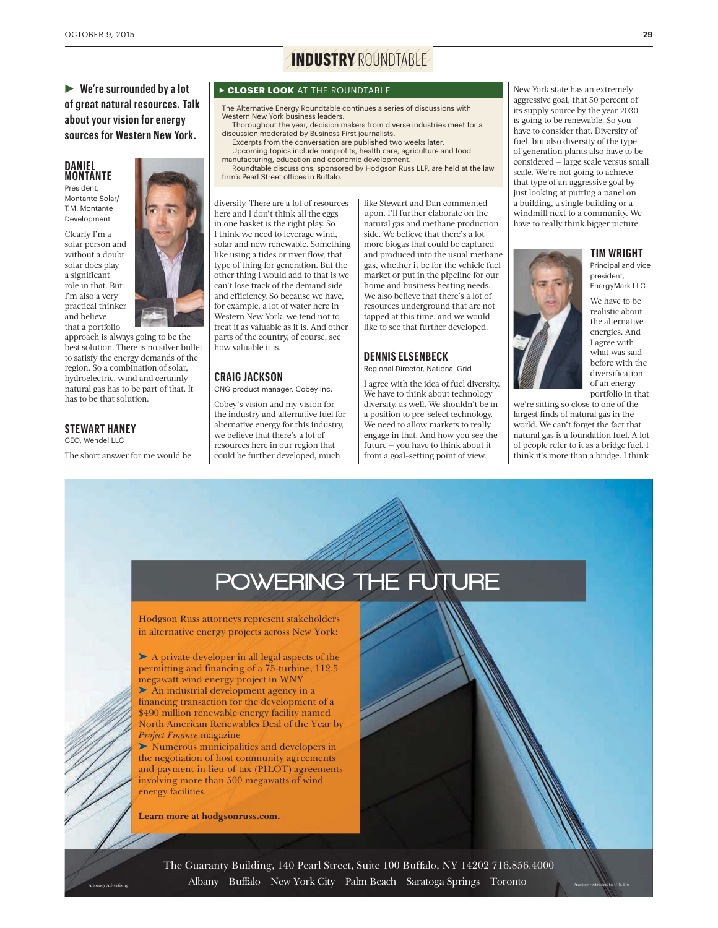### R **We're surrounded by a lot of great natural resources. Talk about your vision for energy sources for Western New York.**

#### **DANIEL MONTANTE**

Montante Solar/ T.M. Montante Development

 Clearly I'm a solar person and without a doubt solar does play role in that. But I'm also a very that a portfolio a significant practical thinker and believe

 approach is always going to be the best solution. There is no silver bullet to satisfy the energy demands of the region. So a combination of solar, hydroelectric, wind and certainly natural gas has to be part of that. It has to be that solution.

#### **STEWART HANEY**

CEO, Wendel LLC

The short answer for me would be

# **INDUSTRY** ROUNDTABLE

#### <sup>R</sup> **CLOSER LOOK** AT THE ROUNDTABLE

The Alternative Energy Roundtable continues a series of discussions with Western New York business leaders.

- Thoroughout the year, decision makers from diverse industries meet for a discussion moderated by Business First journalists.
- Excerpts from the conversation are published two weeks later. Upcoming topics include nonprofits, health care, agriculture and food manufacturing, education and economic development.

Roundtable discussions, sponsored by Hodgson Russ LLP, are held at the law firm's Pearl Street offices in Buffalo.

 diversity. There are a lot of resources here and I don't think all the eggs in one basket is the right play. So I think we need to leverage wind, solar and new renewable. Something like using a tides or river flow, that type of thing for generation. But the other thing I would add to that is we can't lose track of the demand side and efficiency. So because we have, for example, a lot of water here in Western New York, we tend not to treat it as valuable as it is. And other parts of the country, of course, see how valuable it is.

#### **CRAIG JACKSON**

CNG product manager, Cobey Inc.

 Cobey's vision and my vision for the industry and alternative fuel for alternative energy for this industry, we believe that there's a lot of resources here in our region that could be further developed, much

 like Stewart and Dan commented upon. I'll further elaborate on the natural gas and methane production side. We believe that there's a lot more biogas that could be captured and produced into the usual methane gas, whether it be for the vehicle fuel market or put in the pipeline for our home and business heating needs. We also believe that there's a lot of resources underground that are not tapped at this time, and we would like to see that further developed.

#### **DENNIS ELSENBECK**

Regional Director, National Grid

 I agree with the idea of fuel diversity. We have to think about technology diversity, as well. We shouldn't be in a position to pre-select technology. We need to allow markets to really engage in that. And how you see the future — you have to think about it from a goal-setting point of view.

 New York state has an extremely aggressive goal, that 50 percent of its supply source by the year 2030 is going to be renewable. So you have to consider that. Diversity of fuel, but also diversity of the type of generation plants also have to be considered — large scale versus small scale. We're not going to achieve that type of an aggressive goal by just looking at putting a panel on a building, a single building or a windmill next to a community. We have to really think bigger picture.



 We have to be president, EnergyMark LLC

 I agree with what was said before with the of an energy portfolio in that realistic about the alternative energies. And diversification

 we're sitting so close to one of the largest finds of natural gas in the world. We can't forget the fact that natural gas is a foundation fuel. A lot of people refer to it as a bridge fuel. I think it's more than a bridge. I think

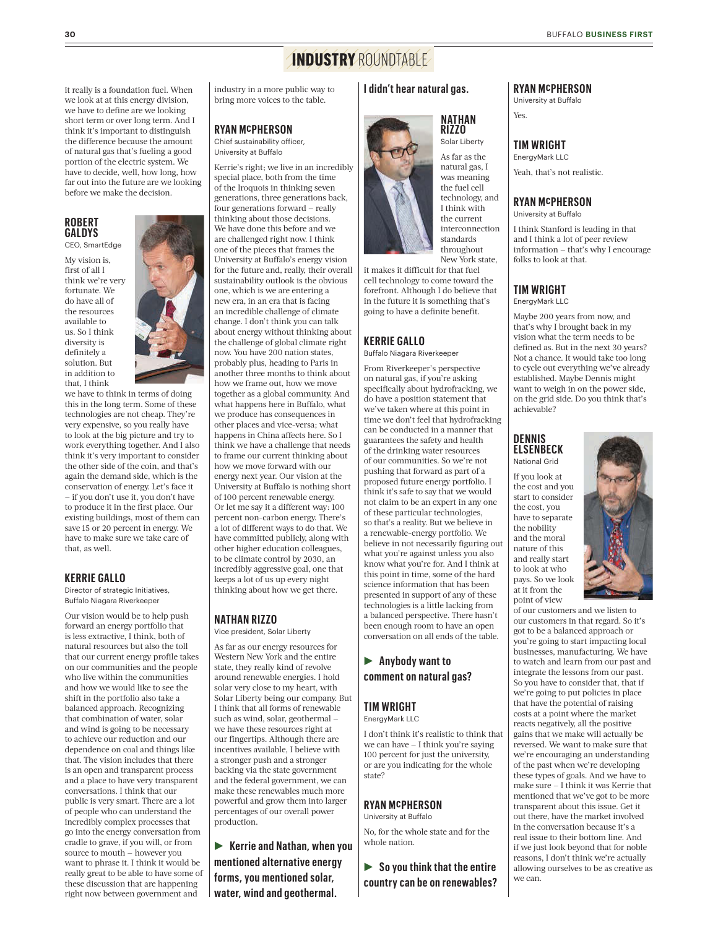### **INDUSTRY** ROUNDTABLE

 it really is a foundation fuel. When we look at at this energy division, we have to define are we looking short term or over long term. And I industry in a more public way to bring more voices to the table.

#### **RYAN McPHERSON**

Chief sustainability officer, University at Buffalo

 Kerrie's right; we live in an incredibly special place, both from the time of the Iroquois in thinking seven generations, three generations back, four generations forward — really thinking about those decisions. We have done this before and we are challenged right now. I think one of the pieces that frames the University at Buffalo's energy vision for the future and, really, their overall sustainability outlook is the obvious one, which is we are entering a new era, in an era that is facing an incredible challenge of climate change. I don't think you can talk about energy without thinking about the challenge of global climate right now. You have 200 nation states, probably plus, heading to Paris in another three months to think about how we frame out, how we move together as a global community. And what happens here in Buffalo, what we produce has consequences in other places and vice-versa; what happens in China affects here. So I think we have a challenge that needs to frame our current thinking about how we move forward with our energy next year. Our vision at the University at Buffalo is nothing short of 100 percent renewable energy. Or let me say it a different way: 100 percent non-carbon energy. There's a lot of different ways to do that. We have committed publicly, along with other higher education colleagues, to be climate control by 2030, an incredibly aggressive goal, one that keeps a lot of us up every night thinking about how we get there.

#### **NATHAN RIZZO** Vice president, Solar Liberty

 As far as our energy resources for Western New York and the entire state, they really kind of revolve around renewable energies. I hold solar very close to my heart, with Solar Liberty being our company. But I think that all forms of renewable such as wind, solar, geothermal — we have these resources right at our fingertips. Although there are incentives available, I believe with a stronger push and a stronger backing via the state government and the federal government, we can make these renewables much more powerful and grow them into larger percentages of our overall power production.

 R **Kerrie and Nathan, when you mentioned alternative energy forms, you mentioned solar, water, wind and geothermal.** 

#### **I didn't hear natural gas.**

#### **NATHAN RIZZO**

 As far as the natural gas, I the fuel cell

Solar Liberty

 Yeah, that's not realistic. **TIM WRIGHT** EnergyMark LLC

**RYAN McPHERSON** University at Buffalo

Yes.

#### **RYAN McPHERSON**

University at Buffalo

 I think Stanford is leading in that and I think a lot of peer review information — that's why I encourage folks to look at that.

#### **TIM WRIGHT** EnergyMark LLC

 Maybe 200 years from now, and that's why I brought back in my vision what the term needs to be defined as. But in the next 30 years? Not a chance. It would take too long to cycle out everything we've already established. Maybe Dennis might want to weigh in on the power side, on the grid side. Do you think that's achievable?

#### **DENNIS ELSENBECK** National Grid

 If you look at the cost and you start to consider the cost, you have to separate and the moral nature of this and really start to look at who pays. So we look at it from the point of view the nobility

 of our customers and we listen to our customers in that regard. So it's got to be a balanced approach or you're going to start impacting local businesses, manufacturing. We have to watch and learn from our past and integrate the lessons from our past. So you have to consider that, that if we're going to put policies in place that have the potential of raising costs at a point where the market reacts negatively, all the positive gains that we make will actually be reversed. We want to make sure that we're encouraging an understanding of the past when we're developing these types of goals. And we have to make sure — I think it was Kerrie that mentioned that we've got to be more transparent about this issue. Get it out there, have the market involved in the conversation because it's a real issue to their bottom line. And if we just look beyond that for noble reasons, I don't think we're actually allowing ourselves to be as creative as we can.

 I think with New York state, it makes it difficult for that fuel cell technology to come toward the forefront. Although I do believe that in the future it is something that's going to have a definite benefit. technology, and the current interconnection standards throughout

#### **KERRIE GALLO**

Buffalo Niagara Riverkeeper

 on natural gas, if you're asking specifically about hydrofracking, we do have a position statement that we've taken where at this point in time we don't feel that hydrofracking can be conducted in a manner that guarantees the safety and health of the drinking water resources of our communities. So we're not pushing that forward as part of a proposed future energy portfolio. I think it's safe to say that we would not claim to be an expert in any one of these particular technologies, so that's a reality. But we believe in a renewable-energy portfolio. We believe in not necessarily figuring out what you're against unless you also know what you're for. And I think at this point in time, some of the hard science information that has been presented in support of any of these technologies is a little lacking from a balanced perspective. There hasn't been enough room to have an open conversation on all ends of the table. From Riverkeeper's perspective

### R **Anybody want to comment on natural gas?**

#### **TIM WRIGHT**

EnergyMark LLC

 we can have — I think you're saying 100 percent for just the university, or are you indicating for the whole I don't think it's realistic to think that state?

#### **RYAN McPHERSON**

University at Buffalo

 No, for the whole state and for the whole nation.

 R **So you think that the entire country can be on renewables?** 



 think it's important to distinguish the difference because the amount of natural gas that's fueling a good portion of the electric system. We have to decide, well, how long, how far out into the future are we looking before we make the decision.

#### **ROBERT GALDYS** CEO, SmartEdge

 My vision is, first of all I think we're very do have all of us. So I think in addition to fortunate. We the resources available to diversity is definitely a solution. But



 conservation of energy. Let's face it — if you don't use it, you don't have

 to produce it in the first place. Our existing buildings, most of them can save 15 or 20 percent in energy. We have to make sure we take care of that, as well.

#### **KERRIE GALLO**

Director of strategic Initiatives, Buffalo Niagara Riverkeeper

 Our vision would be to help push forward an energy portfolio that is less extractive, I think, both of natural resources but also the toll that our current energy profile takes on our communities and the people who live within the communities and how we would like to see the shift in the portfolio also take a balanced approach. Recognizing that combination of water, solar and wind is going to be necessary to achieve our reduction and our dependence on coal and things like that. The vision includes that there is an open and transparent process and a place to have very transparent conversations. I think that our public is very smart. There are a lot of people who can understand the incredibly complex processes that go into the energy conversation from cradle to grave, if you will, or from source to mouth — however you want to phrase it. I think it would be really great to be able to have some of these discussion that are happening right now between government and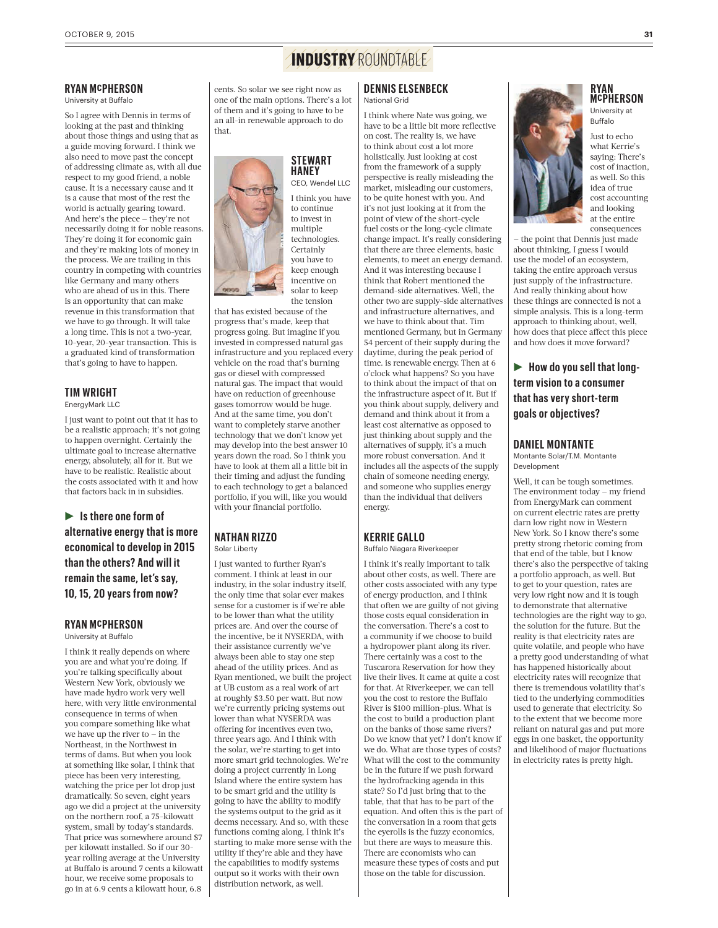## **INDUSTRY** ROUNDTABLE

#### **RYAN McPHERSON**

University at Buffalo

 So I agree with Dennis in terms of looking at the past and thinking about those things and using that as a guide moving forward. I think we also need to move past the concept of addressing climate as, with all due respect to my good friend, a noble cause. It is a necessary cause and it is a cause that most of the rest the world is actually gearing toward. And here's the piece — they're not necessarily doing it for noble reasons. They're doing it for economic gain and they're making lots of money in the process. We are trailing in this country in competing with countries like Germany and many others who are ahead of us in this. There is an opportunity that can make revenue in this transformation that we have to go through. It will take a long time. This is not a two-year, 10-year, 20-year transaction. This is a graduated kind of transformation that's going to have to happen.

#### **TIM WRIGHT** EnergyMark LLC

 I just want to point out that it has to be a realistic approach; it's not going to happen overnight. Certainly the ultimate goal to increase alternative energy, absolutely, all for it. But we have to be realistic. Realistic about the costs associated with it and how that factors back in in subsidies.

 R **Is there one form of alternative energy that is more economical to develop in 2015 than the others? And will it remain the same, let's say, 10, 15, 20 years from now?** 

#### **RYAN McPHERSON** University at Buffalo

 I think it really depends on where you are and what you're doing. If you're talking specifically about Western New York, obviously we have made hydro work very well here, with very little environmental consequence in terms of when you compare something like what we have up the river to — in the Northeast, in the Northwest in terms of dams. But when you look at something like solar, I think that piece has been very interesting, watching the price per lot drop just dramatically. So seven, eight years ago we did a project at the university on the northern roof, a 75-kilowatt system, small by today's standards. That price was somewhere around \$7 per kilowatt installed. So if our 30 year rolling average at the University at Buffalo is around 7 cents a kilowatt hour, we receive some proposals to go in at 6.9 cents a kilowatt hour, 6.8

 cents. So solar we see right now as one of the main options. There's a lot of them and it's going to have to be an all-in renewable approach to do that.



 progress going. But imagine if you invested in compressed natural gas infrastructure and you replaced every vehicle on the road that's burning gas or diesel with compressed natural gas. The impact that would have on reduction of greenhouse gases tomorrow would be huge. And at the same time, you don't want to completely starve another technology that we don't know yet may develop into the best answer 10 years down the road. So I think you have to look at them all a little bit in their timing and adjust the funding to each technology to get a balanced portfolio, if you will, like you would with your financial portfolio.

 I just wanted to further Ryan's comment. I think at least in our industry, in the solar industry itself, the only time that solar ever makes sense for a customer is if we're able to be lower than what the utility prices are. And over the course of the incentive, be it NYSERDA, with their assistance currently we've always been able to stay one step ahead of the utility prices. And as Ryan mentioned, we built the project at UB custom as a real work of art at roughly \$3.50 per watt. But now we're currently pricing systems out lower than what NYSERDA was offering for incentives even two, three years ago. And I think with the solar, we're starting to get into more smart grid technologies. We're doing a project currently in Long Island where the entire system has to be smart grid and the utility is going to have the ability to modify the systems output to the grid as it deems necessary. And so, with these functions coming along, I think it's starting to make more sense with the utility if they're able and they have the capabilities to modify systems output so it works with their own distribution network, as well.

**NATHAN RIZZO** Solar Liberty

#### I think where Nate was going, we have to be a little bit more reflective

**DENNIS ELSENBECK** National Grid

 on cost. The reality is, we have to think about cost a lot more holistically. Just looking at cost from the framework of a supply perspective is really misleading the market, misleading our customers, to be quite honest with you. And it's not just looking at it from the point of view of the short-cycle fuel costs or the long-cycle climate change impact. It's really considering that there are three elements, basic elements, to meet an energy demand. And it was interesting because I think that Robert mentioned the demand-side alternatives. Well, the other two are supply-side alternatives we have to think about that. Tim mentioned Germany, but in Germany 54 percent of their supply during the daytime, during the peak period of time. is renewable energy. Then at 6 o'clock what happens? So you have to think about the impact of that on the infrastructure aspect of it. But if you think about supply, delivery and demand and think about it from a least cost alternative as opposed to just thinking about supply and the alternatives of supply, it's a much more robust conversation. And it includes all the aspects of the supply chain of someone needing energy, and someone who supplies energy than the individual that delivers and infrastructure alternatives, and energy.

#### **KERRIE GALLO**

#### Buffalo Niagara Riverkeeper

 I think it's really important to talk about other costs, as well. There are other costs associated with any type of energy production, and I think that often we are guilty of not giving those costs equal consideration in the conversation. There's a cost to a community if we choose to build a hydropower plant along its river. There certainly was a cost to the Tuscarora Reservation for how they live their lives. It came at quite a cost for that. At Riverkeeper, we can tell you the cost to restore the Buffalo River is \$100 million-plus. What is the cost to build a production plant on the banks of those same rivers? Do we know that yet? I don't know if we do. What are those types of costs? What will the cost to the community be in the future if we push forward the hydrofracking agenda in this state? So I'd just bring that to the table, that that has to be part of the equation. And often this is the part of the conversation in a room that gets the eyerolls is the fuzzy economics, but there are ways to measure this. There are economists who can measure these types of costs and put those on the table for discussion.

**RYAN McPHERSON** University at

Buffalo

 Just to echo cost of inaction, as well. So this idea of true at the entire what Kerrie's saying: There's cost accounting and looking consequences

 — the point that Dennis just made about thinking, I guess I would use the model of an ecosystem, taking the entire approach versus just supply of the infrastructure. And really thinking about how these things are connected is not a simple analysis. This is a long-term approach to thinking about, well, how does that piece affect this piece and how does it move forward?

 R **How do you sell that long- term vision to a consumer that has very shortterm goals or objectives?** 

#### **DANIEL MONTANTE**

Montante Solar/TM Montante Development

 Well, it can be tough sometimes. The environment today — my friend from EnergyMark can comment on current electric rates are pretty darn low right now in Western New York. So I know there's some pretty strong rhetoric coming from that end of the table, but I know there's also the perspective of taking a portfolio approach, as well. But to get to your question, rates are very low right now and it is tough to demonstrate that alternative technologies are the right way to go, the solution for the future. But the reality is that electricity rates are quite volatile, and people who have a pretty good understanding of what has happened historically about electricity rates will recognize that there is tremendous volatility that's tied to the underlying commodities used to generate that electricity. So to the extent that we become more reliant on natural gas and put more eggs in one basket, the opportunity and likelihood of major fluctuations in electricity rates is pretty high.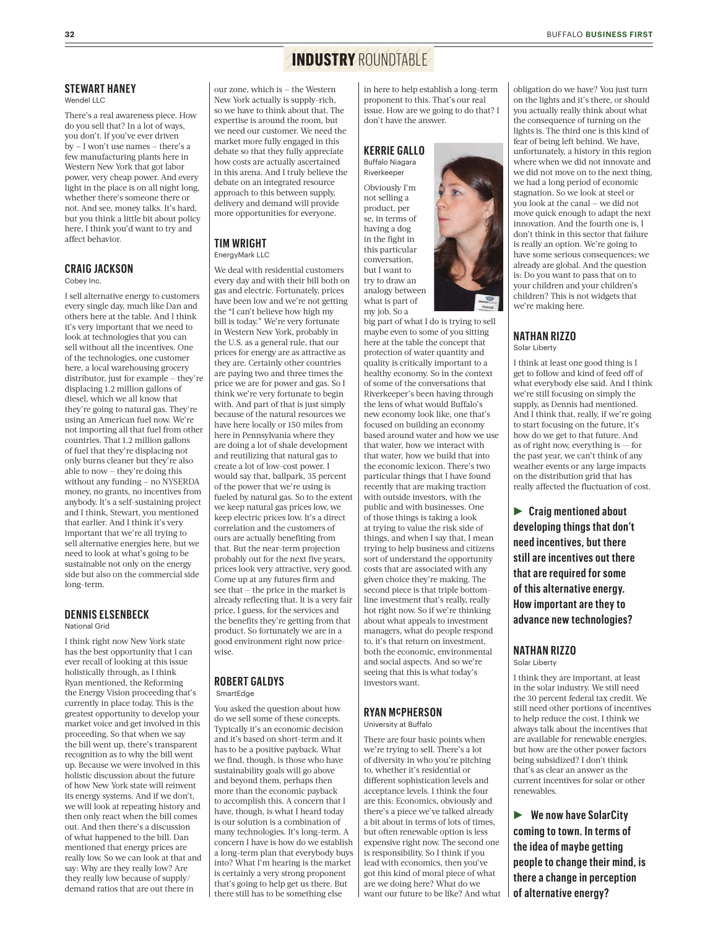### **INDUSTRY** ROUNDTABLE

**STEWART HANEY**

Wendel LLC

 There's a real awareness piece. How do you sell that? In a lot of ways, you don't. If you've ever driven by — I won't use names — there's a few manufacturing plants here in Western New York that got labor power, very cheap power. And every light in the place is on all night long, whether there's someone there or not. And see, money talks. It's hard, but you think a little bit about policy here, I think you'd want to try and affect behavior.

#### **CRAIG JACKSON**

Cobey Inc.

 I sell alternative energy to customers every single day, much like Dan and others here at the table. And I think it's very important that we need to look at technologies that you can sell without all the incentives. One of the technologies, one customer here, a local warehousing grocery distributor, just for example — they're displacing 1.2 million gallons of diesel, which we all know that they're going to natural gas. They're using an American fuel now. We're not importing all that fuel from other countries. That 1.2 million gallons of fuel that they're displacing not only burns cleaner but they're also able to now — they're doing this without any funding — no NYSERDA money, no grants, no incentives from anybody. It's a self-sustaining project and I think, Stewart, you mentioned that earlier. And I think it's very important that we're all trying to sell alternative energies here, but we need to look at what's going to be sustainable not only on the energy side but also on the commercial side long-term.

#### **DENNIS ELSENBECK** National Grid

 I think right now New York state has the best opportunity that I can ever recall of looking at this issue holistically through, as I think Ryan mentioned, the Reforming the Energy Vision proceeding that's currently in place today. This is the greatest opportunity to develop your market voice and get involved in this proceeding. So that when we say the bill went up, there's transparent recognition as to why the bill went up. Because we were involved in this holistic discussion about the future of how New York state will reinvent its energy systems. And if we don't, we will look at repeating history and then only react when the bill comes out. And then there's a discussion of what happened to the bill. Dan mentioned that energy prices are really low. So we can look at that and say: Why are they really low? Are they really low because of supply/ demand ratios that are out there in

 our zone, which is — the Western New York actually is supply-rich, so we have to think about that. The expertise is around the room, but we need our customer. We need the market more fully engaged in this debate so that they fully appreciate how costs are actually ascertained in this arena. And I truly believe the debate on an integrated resource approach to this between supply, delivery and demand will provide more opportunities for everyone.

#### **TIM WRIGHT** EnergyMark LLC

 We deal with residential customers every day and with their bill both on gas and electric. Fortunately, prices have been low and we're not getting the "I can't believe how high my bill is today." We're very fortunate in Western New York, probably in the U.S. as a general rule, that our prices for energy are as attractive as they are. Certainly other countries are paying two and three times the price we are for power and gas. So I think we're very fortunate to begin with. And part of that is just simply because of the natural resources we have here locally or 150 miles from here in Pennsylvania where they are doing a lot of shale development and reutilizing that natural gas to create a lot of low-cost power. I would say that, ballpark, 35 percent of the power that we're using is fueled by natural gas. So to the extent we keep natural gas prices low, we keep electric prices low. It's a direct correlation and the customers of ours are actually benefiting from that. But the near-term projection probably out for the next five years, prices look very attractive, very good. Come up at any futures firm and see that — the price in the market is already reflecting that. It is a very fair price, I guess, for the services and the benefits they're getting from that product. So fortunately we are in a good environment right now pricewise.

#### **ROBERT GALDYS** SmartEdge

 You asked the question about how do we sell some of these concepts. Typically it's an economic decision and it's based on short-term and it has to be a positive payback. What we find, though, is those who have sustainability goals will go above and beyond them, perhaps then more than the economic payback to accomplish this. A concern that I have, though, is what I heard today is our solution is a combination of many technologies. It's long-term. A concern I have is how do we establish a long-term plan that everybody buys into? What I'm hearing is the market is certainly a very strong proponent that's going to help get us there. But there still has to be something else

 in here to help establish a long-term proponent to this. That's our real issue. How are we going to do that? I don't have the answer.

#### **KERRIE GALLO** Buffalo Niagara

 not selling a se, in terms of having a dog in the fight in but I want to try to draw an what is part of Riverkeeper Obviously I'm product, per this particular conversation, analogy between

 my job. So a big part of what I do is trying to sell maybe even to some of you sitting here at the table the concept that protection of water quantity and quality is critically important to a healthy economy. So in the context of some of the conversations that Riverkeeper's been having through the lens of what would Buffalo's new economy look like, one that's focused on building an economy based around water and how we use that water, how we interact with that water, how we build that into the economic lexicon. There's two particular things that I have found recently that are making traction with outside investors, with the public and with businesses. One of those things is taking a look at trying to value the risk side of things, and when I say that, I mean trying to help business and citizens sort of understand the opportunity costs that are associated with any given choice they're making. The second piece is that triple bottom- line investment that's really, really hot right now. So if we're thinking about what appeals to investment managers, what do people respond to, it's that return on investment, both the economic, environmental and social aspects. And so we're seeing that this is what today's investors want.

#### **RYAN McPHERSON** University at Buffalo

 There are four basic points when we're trying to sell. There's a lot of diversity in who you're pitching to, whether it's residential or different sophistication levels and acceptance levels. I think the four are this: Economics, obviously and there's a piece we've talked already a bit about in terms of lots of times, but often renewable option is less expensive right now. The second one is responsibility. So I think if you lead with economics, then you've got this kind of moral piece of what are we doing here? What do we want our future to be like? And what  obligation do we have? You just turn on the lights and it's there, or should you actually really think about what the consequence of turning on the lights is. The third one is this kind of fear of being left behind. We have, unfortunately, a history in this region where when we did not innovate and we did not move on to the next thing, we had a long period of economic stagnation. So we look at steel or you look at the canal — we did not move quick enough to adapt the next innovation. And the fourth one is, I don't think in this sector that failure is really an option. We're going to have some serious consequences; we already are global. And the question is: Do you want to pass that on to your children and your children's children? This is not widgets that we're making here.

#### **NATHAN RIZZO** Solar Liberty

 I think at least one good thing is I get to follow and kind of feed off of what everybody else said. And I think we're still focusing on simply the supply, as Dennis had mentioned. And I think that, really, if we're going to start focusing on the future, it's how do we get to that future. And as of right now, everything is -- for the past year, we can't think of any weather events or any large impacts on the distribution grid that has really affected the fluctuation of cost.

 R **Craig mentioned about developing things that don't need incentives, but there still are incentives out there that are required for some of this alternative energy. How important are they to advance new technologies?** 

#### **NATHAN RIZZO** Solar Liberty

 I think they are important, at least in the solar industry. We still need the 30 percent federal tax credit. We still need other portions of incentives to help reduce the cost. I think we always talk about the incentives that are available for renewable energies, but how are the other power factors being subsidized? I don't think that's as clear an answer as the current incentives for solar or other renewables.

 R **We now have SolarCity coming to town. In terms of the idea of maybe getting people to change their mind, is there a change in perception of alternative energy?**